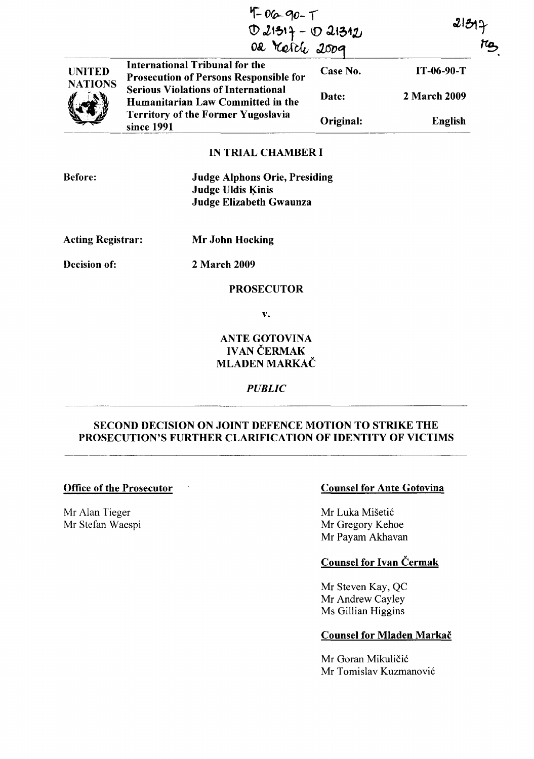|                                      | $4 - 06 - 90 - 1$<br>D 21317 - 10 21312                                                |           | 2 3 2        | TO |
|--------------------------------------|----------------------------------------------------------------------------------------|-----------|--------------|----|
| <b>UNITED</b><br><b>NATIONS</b><br>V | <b>International Tribunal for the</b><br><b>Prosecution of Persons Responsible for</b> | Case No.  | $IT-06-90-T$ |    |
|                                      | <b>Serious Violations of International</b><br>Humanitarian Law Committed in the        | Date:     | 2 March 2009 |    |
|                                      | <b>Territory of the Former Yugoslavia</b><br>since 1991                                | Original: | English      |    |

## IN TRIAL CHAMBER I

| <b>Before:</b> | <b>Judge Alphons Orie, Presiding</b> |
|----------------|--------------------------------------|
|                | Judge Uldis Kinis                    |
|                | Judge Elizabeth Gwaunza              |

Acting Registrar: Mr John Hocking

Decision of: 2 March 2009

## PROSECUTOR

v.

# ANTE GOTOVINA **IVAN ČERMAK** MLADEN MARKAČ

#### *PUBLIC*

# SECOND DECISION ON JOINT DEFENCE MOTION TO STRIKE THE PROSECUTION'S FURTHER CLARIFICATION OF IDENTITY OF VICTIMS

Mr Alan Tieger Mr Stefan Waespi

# Office of the Prosecutor Counsel for Ante Gotovina

Mr Luka Mišetić Mr Gregory Kehoe Mr Payam Akhavan

# Counsel for Ivan Čermak

Mr Steven Kay, QC Mr Andrew Cayley Ms Gillian Higgins

#### Counsel for Mladen Markac

Mr Goran Mikuličić Mr Tomislav Kuzmanovic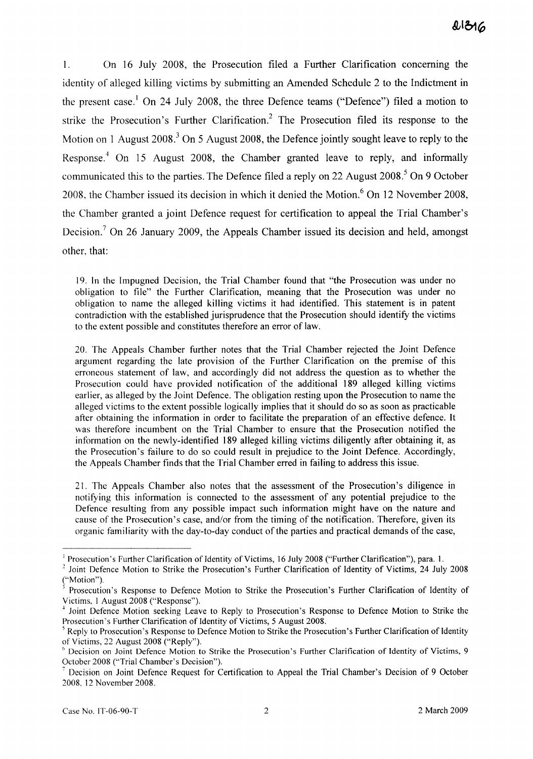1. On 16 July 2008, the Prosecution filed a Further Clarification concerning the identity of alleged killing victims by submitting an Amended Schedule 2 to the Indictment in the present case.<sup>1</sup> On 24 July 2008, the three Defence teams ("Defence") filed a motion to strike the Prosecution's Further Clarification? The Prosecution filed its response to the Motion on 1 August 2008.<sup>3</sup> On 5 August 2008, the Defence jointly sought leave to reply to the Response." On 15 August 2008, the Chamber granted leave to reply, and informally communicated this to the parties. The Defence filed a reply on 22 August  $2008<sup>5</sup>$  On 9 October 2008, the Chamber issued its decision in which it denied the Motion.<sup>6</sup> On 12 November 2008, the Chamber granted a joint Defence request for certification to appeal the Trial Chamber's Decision.<sup>7</sup> On 26 January 2009, the Appeals Chamber issued its decision and held, amongst other, that:

19. In the Impugned Decision, the Trial Chamber found that "the Prosecution was under no obligation to file" the Further Clarification, meaning that the Prosecution was under no obligation to name the alleged killing victims it had identified. This statement is in patent contradiction with the established jurisprudence that the Prosecution should identify the victims to the extent possible and constitutes therefore an error of law.

20. The Appeals Chamber further notes that the Trial Chamber rejected the Joint Defence argument regarding the late provision of the Further Clarification on the premise of this erroneous statement of law, and accordingly did not address the question as to whether the Prosecution could have provided notification of the additional 189 alleged killing victims earlier, as alleged by the Joint Defence. The obligation resting upon the Prosecution to name the alleged victims to the extent possible logically implies that it should do so as soon as practicable after obtaining the information in order to facilitate the preparation of an effective defence. It was therefore incumbent on the Trial Chamber to ensure that the Prosecution notified the information on the newly-identified 189 alleged killing victims diligently after obtaining it, as the Prosecution's failure to do so could result in prejudice to the Joint Defence. Accordingly, the Appeals Chamber finds that the Trial Chamber erred in failing to address this issue.

21. The Appeals Chamber also notes that the assessment of the Prosecution's diligence in notifying this information is connected to the assessment of any potential prejudice to the Defence resulting from any possible impact such information might have on the nature and cause of the Prosecution's case, and/or from the timing of the notification. Therefore, given its organic familiarity with the day-to-day conduct of the parties and practical demands of the case,

<sup>&</sup>lt;sup>1</sup> Prosecution's Further Clarification of Identity of Victims, 16 July 2008 ("Further Clarification"), para. 1.

<sup>&</sup>lt;sup>2</sup> Joint Defence Motion to Strike the Prosecution's Further Clarification of Identity of Victims, 24 July 2008 ("Motion").

Prosecution's Response to Defence Motion to Strike the Prosecution's Further Clarification of Identity of Victims, 1 August 2008 ("Response").

<sup>&</sup>lt;sup>4</sup> Joint Defence Motion seeking Leave to Reply to Prosecution's Response to Defence Motion to Strike the Prosecution's Further Clarification of Identity of Victims, 5 August 2008.

 $<sup>5</sup>$  Reply to Prosecution's Response to Defence Motion to Strike the Prosecution's Further Clarification of Identity</sup> of Victims, 22 August 2008 ("Reply").

<sup>6</sup> Decision on Joint Defence Motion to Strike the Prosecution's Further Clarification of Identity of Victims, 9 October2008 ("Trial Chamber's Decision").

<sup>7</sup> Decision on Joint Defence Request for Certification to Appeal the Trial Chamber's Decision of 9 October 2008, 12 November 2008.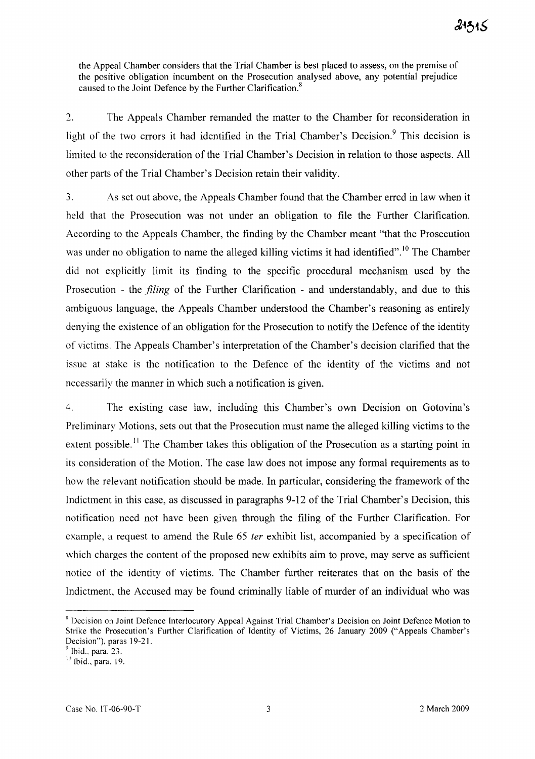the Appeal Chamber considers that the Trial Chamber is best placed to assess, on the premise of the positive obligation incumbent on the Prosecution analysed above, any potential prejudice caused to the Joint Defence by the Further Clarification.<sup>8</sup>

2. The Appeals Chamber remanded the matter to the Chamber for reconsideration in light of the two errors it had identified in the Trial Chamber's Decision.<sup>9</sup> This decision is limited to the reconsideration of the Trial Chamber's Decision in relation to those aspects. All other parts of the Trial Chamber's Decision retain their validity.

3. As set out above, the Appeals Chamber found that the Chamber erred in law when it held that the Prosecution was not under an obligation to file the Further Clarification. According to the Appeals Chamber, the finding by the Chamber meant "that the Prosecution was under no obligation to name the alleged killing victims it had identified".<sup>10</sup> The Chamber did not explicitly limit its finding to the specific procedural mechanism used by the Prosecution - the *filing* of the Further Clarification - and understandably, and due to this ambiguous language, the Appeals Chamber understood the Chamber's reasoning as entirely denying the existence of an obligation for the Prosecution to notify the Defence of the identity of victims. The Appeals Chamber's interpretation of the Chamber's decision clarified that the issue at stake is the notification to the Defence of the identity of the victims and not necessarily the manner in which such a notification is given.

4. The existing case law, including this Chamber's own Decision on Gotovina's Preliminary Motions, sets out that the Prosecution must name the alleged killing victims to the extent possible.<sup>11</sup> The Chamber takes this obligation of the Prosecution as a starting point in its consideration of the Motion. The case law does not impose any formal requirements as to how the relevant notification should be made. In particular, considering the framework of the Indictment in this case, as discussed in paragraphs 9-12 of the Trial Chamber's Decision, this notification need not have been given through the filing of the Further Clarification. For example, a request to amend the Rule 65 *ter* exhibit list, accompanied by a specification of which charges the content of the proposed new exhibits aim to prove, may serve as sufficient notice of the identity of victims. The Chamber further reiterates that on the basis of the Indictment, the Accused may be found criminally liable of murder of an individual who was

<sup>8</sup> Decision on Joint Defence Interlocutory Appeal Against Trial Chamber's Decision on Joint Defence Motion to Strike the Prosecution's Further Clarification of Identity of Victims, 26 January 2009 ("Appeals Chamber's Decision"), paras 19-2I.

 $<sup>9</sup>$  Ibid., para. 23.</sup>

 $10$  Ibid., para. 19.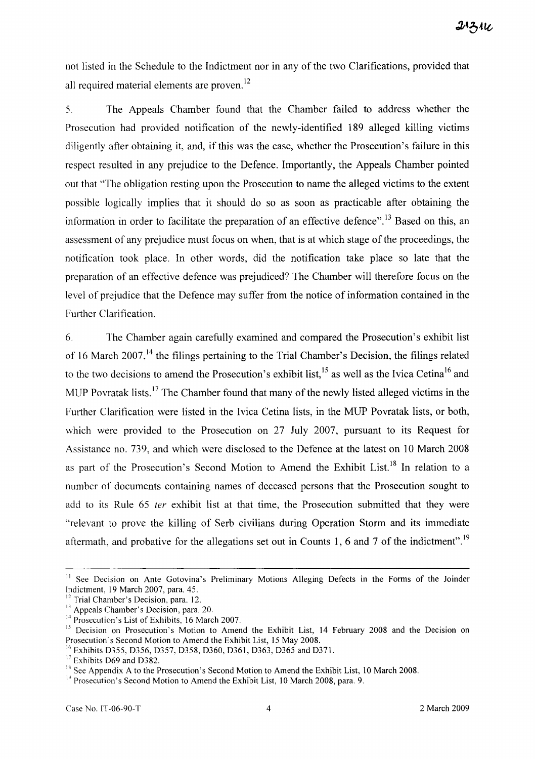not listed in the Schedule to the Indictment nor in any of the two Clarifications, provided that all required material elements are proven.<sup>12</sup>

5. The Appeals Chamber found that the Chamber failed to address whether the Prosecution had provided notification of the newly-identified 189 alleged killing victims diligently after obtaining it, and, if this was the case, whether the Prosecution's failure in this respect resulted in any prejudice to the Defence. Importantly, the Appeals Chamber pointed out that "The obligation resting upon the Prosecution to name the alleged victims to the extent possible logically implies that it should do so as soon as practicable after obtaining the information in order to facilitate the preparation of an effective defence".<sup>13</sup> Based on this, an assessment of any prejudice must focus on when, that is at which stage of the proceedings, the notification took place. In other words, did the notification take place so late that the preparation of an effective defence was prejudiced? The Chamber will therefore focus on the level of prejudice that the Defence may suffer from the notice of information contained in the Further Clarification.

6. The Chamber again carefully examined and compared the Prosecution's exhibit list of 16 March 2007, $^{14}$  the filings pertaining to the Trial Chamber's Decision, the filings related to the two decisions to amend the Prosecution's exhibit list,<sup>15</sup> as well as the Ivica Cetina<sup>16</sup> and MUP Povratak lists.<sup>17</sup> The Chamber found that many of the newly listed alleged victims in the Further Clarification were listed in the Ivica Cetina lists, in the MUP Povratak lists, or both, which were provided to the Prosecution on 27 July 2007, pursuant to its Request for Assistance no. 739, and which were disclosed to the Defence at the latest on 10 March 2008 as part of the Prosecution's Second Motion to Amend the Exhibit List.<sup>18</sup> In relation to a number of documents containing names of deceased persons that the Prosecution sought to add to its Rule 65 *ter* exhibit list at that time, the Prosecution submitted that they were "relevant to prove the killing of Serb civilians during Operation Storm and its immediate aftermath, and probative for the allegations set out in Counts 1, 6 and 7 of the indictment".<sup>19</sup>

<sup>&</sup>lt;sup>11</sup> See Decision on Ante Gotovina's Preliminary Motions Alleging Defects in the Forms of the Joinder Indictment, 19 March 2007, para. 45.

<sup>&</sup>lt;sup>12</sup> Trial Chamber's Decision, para. 12.

<sup>&</sup>lt;sup>13</sup> Appeals Chamber's Decision, para. 20.

<sup>&</sup>lt;sup>14</sup> Prosecution's List of Exhibits, 16 March 2007.

<sup>&</sup>lt;sup>15</sup> Decision on Prosecution's Motion to Amend the Exhibit List, 14 February 2008 and the Decision on Prosecution's Second Motion to Amend the Exhibit List, 15 May 2008.

<sup>&</sup>lt;sup>16</sup> Exhibits D355, D356, D357, D358, D360, D361, D363, D365 and D371.

<sup>&</sup>lt;sup>17</sup> Exhibits D69 and D382.

 $18$  See Appendix A to the Prosecution's Second Motion to Amend the Exhibit List, 10 March 2008.

<sup>&</sup>lt;sup>19</sup> Prosecution's Second Motion to Amend the Exhibit List, 10 March 2008, para. 9.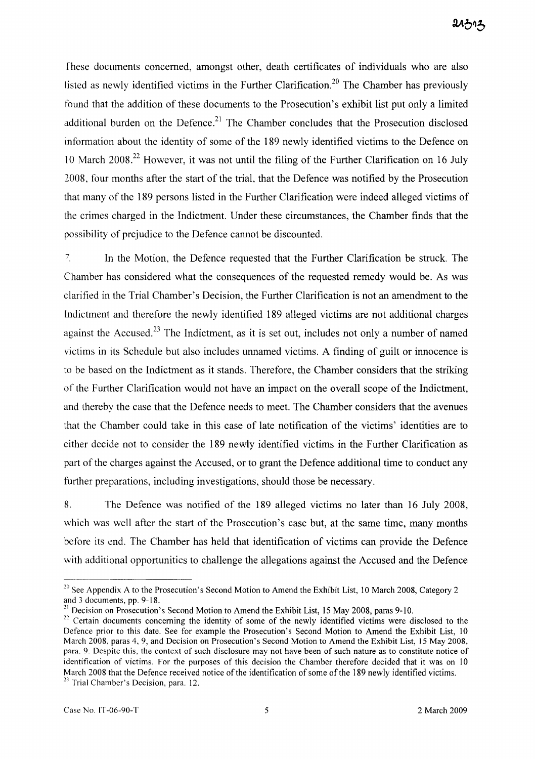Ihese documents concerned, amongst other, death certificates of individuals who are also listed as newly identified victims in the Further Clarification.<sup>20</sup> The Chamber has previously found that the addition of these documents to the Prosecution's exhibit list put only a limited additional burden on the Defence.<sup>21</sup> The Chamber concludes that the Prosecution disclosed information about the identity of some of the 189 newly identified victims to the Defence on 10 March 2008<sup>22</sup> However, it was not until the filing of the Further Clarification on 16 July 2008, four months after the start of the trial, that the Defence was notified by the Prosecution that many of the 189 persons listed in the Further Clarification were indeed alleged victims of the crimes charged in the Indictment. Under these circumstances, the Chamber finds that the possibility of prejudice to the Defence cannot be discounted.

<sup>7</sup> In the Motion, the Defence requested that the Further Clarification be struck. The Chamber has considered what the consequences of the requested remedy would be. As was clarified in the Trial Chamber's Decision, the Further Clarification is not an amendment to the Indictment and therefore the newly identified 189 alleged victims are not additional charges against the Accused.<sup>23</sup> The Indictment, as it is set out, includes not only a number of named victims in its Schedule but also includes unnamed victims. A finding of guilt or innocence is to be based on the Indictment as it stands. Therefore, the Chamber considers that the striking of the Further Clarification would not have an impact on the overall scope of the Indictment, and thereby the case that the Defence needs to meet. The Chamber considers that the avenues that the Chamber could take in this case of late notification of the victims' identities are to either decide not to consider the 189 newly identified victims in the Further Clarification as part of the charges against the Accused, or to grant the Defence additional time to conduct any further preparations, including investigations, should those be necessary.

8. The Defence was notified of the 189 alleged victims no later than 16 July 2008, which was well after the start of the Prosecution's case but, at the same time, many months before its end. The Chamber has held that identification of victims can provide the Defence with additional opportunities to challenge the allegations against the Accused and the Defence

<sup>&</sup>lt;sup>20</sup> See Appendix A to the Prosecution's Second Motion to Amend the Exhibit List, 10 March 2008, Category 2 and 3 documents, pp. 9-18.

<sup>&</sup>lt;sup>21</sup> Decision on Prosecution's Second Motion to Amend the Exhibit List, 15 May 2008, paras 9-10.

 $22$  Certain documents concerning the identity of some of the newly identified victims were disclosed to the Defence prior to this date. See for example the Prosecution's Second Motion to Amend the Exhibit List, 10 March 2008, paras 4,9, and Decision on Prosecution's Second Motion to Amend the Exhibit List, 15 May 2008, para. 9. Despite this, the context of such disclosure may not have been of such nature as to constitute notice of identification of victims. For the purposes of this decision the Chamber therefore decided that it was on 10 March 2008 that the Defence received notice of the identification of some of the 189 newly identified victims. <sup>23</sup> Trial Chamber's Decision, para. 12.